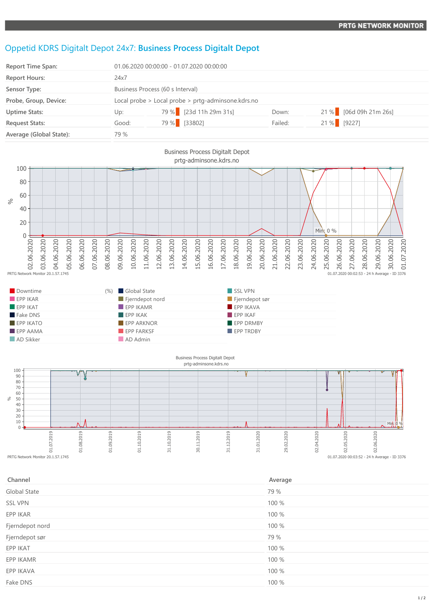## Oppetid KDRS Digitalt Depot 24x7: **Business Process Digitalt Depot**

| <b>Report Time Span:</b> | 01.06.2020 00:00:00 - 01.07.2020 00:00:00          |                        |         |                        |  |
|--------------------------|----------------------------------------------------|------------------------|---------|------------------------|--|
| <b>Report Hours:</b>     | 24x7                                               |                        |         |                        |  |
| Sensor Type:             | Business Process (60 s Interval)                   |                        |         |                        |  |
| Probe, Group, Device:    | Local probe > Local probe > prtg-adminsone.kdrs.no |                        |         |                        |  |
| <b>Uptime Stats:</b>     | Up:                                                | 79 % [23d 11h 29m 31s] | Down:   | 21 % [06d 09h 21m 26s] |  |
| <b>Request Stats:</b>    | Good:                                              | 79 % [33802]           | Failed: | 21 % [9227]            |  |
| Average (Global State):  | 79 %                                               |                        |         |                        |  |



| Downtime                | (%) Global State        | SSL VPN          |
|-------------------------|-------------------------|------------------|
| EPPIKAR                 | Fjerndepot nord         | Fjerndepot sør   |
| $F$ EPP IKAT            | $EPP$ IKAMR             | EPP IKAVA        |
| Fake DNS                | $\blacksquare$ EPP IKAK | EPPIKAF          |
| $EPP$ IKATO             | <b>EPP ARKNOR</b>       | EPP DRMBY        |
| $\blacksquare$ EPP AAMA | <b>EPP FARKSF</b>       | <b>EPP TRDBY</b> |
| AD Sikker               | AD Admin                |                  |



| Channel             | Average |
|---------------------|---------|
| <b>Global State</b> | 79 %    |
| <b>SSL VPN</b>      | 100 %   |
| EPP IKAR            | 100 %   |
| Fjerndepot nord     | 100 %   |
| Fjerndepot sør      | 79 %    |
| EPP IKAT            | 100 %   |
| EPP IKAMR           | 100 %   |
| EPP IKAVA           | 100 %   |
| Fake DNS            | 100 %   |
|                     |         |